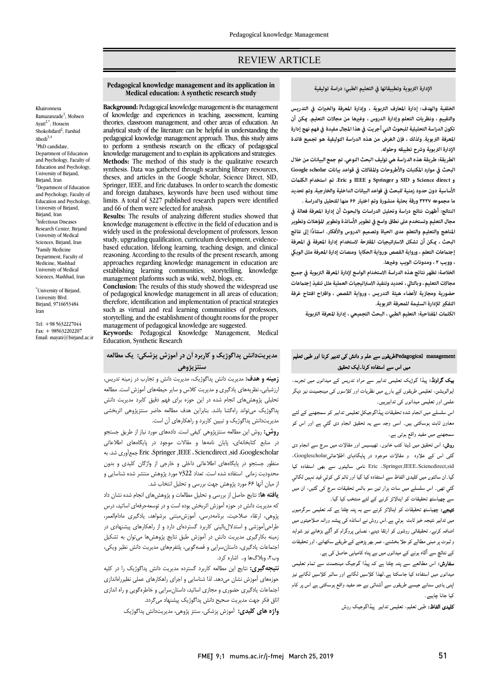# REVIEW ARTICLE

# **الإدارة التربوية وتطبيقاتها في التعليم الطبي: دراسة توليفية**

Ī 

 **الخلفية والهدف: إدارة المعارف التربوية ، وإدارة المعرفة والخبرات في التدريس تكون الدراسة التحليلية للبحوث التي أجريت في هذا المجال مفيدة في فهم نهج إدارة المعرفة التربوية. ولذلك ، فإن الغرض من هذه الدراسة التوليفية هو تجميع فائدة الإدارة التربوية وشرح تطبيقه وحلوله. والتقييم ، ونظريات التعلم وإدارة الدروس ، وغها من مجالات التعليم. كن أن** 

 **الطريقة: طريقة هذه الدراسة هي توليف البحث النوعي. تم جمع البيانات من خلال البحث في موارد المكتبات والأطروحات والمقالات في قواعد بيانات scholar Google الأساسية دون حدود زمنية للبحث في قواعد البيانات الداخلية والخارجية. وتم تحديد ما مجموعه ۳۲۲۷ورقة بحثية منشورة وتم اختيار ۶۶منها للتحليل والدراسة . و direct Science و SID و Springer و IEEE و Eric. تم استخدام الكلت** 

 **النتائج: أظهرت نتائج دراسة وتحليل الدراسات والبحوث أن إدارة المعرفة فعالة في مجال التعليم وتستخدم على نطاق واسع في تطوير الأساتذة وتطوير المؤهلات وتطوير ً المناهج والتعليم والتعلم مدى الحياة وتصميم الدروس والأفكار. استنادا إلى نتائج البحث ، كن أن تشكل الاستراتيجيات المقترحة لاستخدام إدارة المعرفة في المعرفة**  ، بعد عات المعلم ، وروايته ال<del>سم</del>ص ،و.<br>، وويب ٢ ، ومدونات الويب وغيرها. **إجتعات التعلم ، ور واية القصص ،ورواية الحكايا ومنصات إدارة المعرفة مثل الوي** 

 **الخلاصة: تظهر نتائج هذه الدراسة الاستخدام الواسع لإدارة المعرفة التربوية في جميع مجالات التعليم ، وبالتالي ، تحديد وتنفيذ الاستراتيجيات العملية مثل تنفيذ إجتعات حضورية ومجازية لأعضاء هيئة التدريس ، ورواية القصص ، واقتراح افتتاح غرفة**  التفك<u>ر</u> للإدارة السليمة للمعرفة التربوية.<br>.

**الكلت المفتاحية: التعليم الطبي ، البحث التجميعي ، إدارة المعرفة التربوية**

# م<br>Pedagogical managementشیقوں سے علم و دانش کی تدبیر کرنا اور طبی تعلیم میں اس سے استفادہ کرنا۔ایک تحقیق

**یک گراونڈ:** پیڈا گوژیک تعلیمی تدابیر سے مراد تدریس کے میدانوں میں تجربہ، ایوالویشن، تعلیمی طریقوں کے بار<sub>ے</sub> میں نظریات اور کلاسوں کی مینجمینٹ نیز دیگر علمی اور تعلیمی میدانوں کی تدابیرہیں۔

اس سلسلے میں انجام شدہ تحقیقات پیڈاگوجیکل تعلیمی تدابیر کو سمجھنے کے لئے معاون ثابت ہوسکتی ہیں۔ اسی وجہ سے یہ تحقیق انجام دی گئي ہے اور اس کو سمجھنے میں مفید واقع ہوتی ہے۔<br>۔

روس. اس تحقیق میں رہتا تھب حکوں. مهیشیس اور متدر ے میں سرچ سے اجبام دی۔<br>گئی اس کے علاوہ و مقالات موجود در پایگاہای اطلاعاتیDooglescholar، دہ کی سے استفادہ کا سائیٹوں سے بھی استفادہ کیا<br>Eric ،Springer,IEEE،Sciencdirect,sid نامی سائیٹوں سے بھی استفادہ کیا ۔<br>گیا۔ان سائٹوں میں کلیدی الفاظ سے استفادہ کیا گیا اور ٹائم کی کوئي قید نہیں لگائي گئبي تھی۔ اس سلسلے میں سات ہزار تین سو بائس تحقیقات سرچ کی گئیں، ان میں سے چھیاسٹھ تحقیقات کو اینالائز کرنے کے لئے منتخب کیا گیا۔ **روش:** اس تحقیق میں ڈیٹا کتب خانوں، تھیسیس اور مقالات میں سرچ سے انجام دی

**نتیجے:** چھیاسٹھ تحقیقات کو اینالائز کرنے سے یہ پتہ چلتا ہے کہ تعلیمی سرگرمیوں میں تدابیر نتیجہ خیز ثابت ہوئي ہے۔اس روش نے اساتذہ کی پیشہ ورانہ صلاحیتوں میں اضافہ کرنے، تحقیقاتی روشوں کو ارتقا دینے، نصابی پروگرام کو آگے بڑہانے نیز شواہد ر ثبوت پر مبنی مطالبے کو جلا بخشنے، عمر بھر پڑھنے کے طریقے سکھانے، اور تحقیقات<br>مصدر مسلمان کے نتائچ سے آگاہ ہونے کے میدانوں میں بے پناہ کامیابی حاصل کی ہے۔

ے سی سے مسلم کے لیے ہیں جس کی ہے۔<br>**سفارش:** اس مطالعے سے پتہ چلتا ہے کہ پیڈا گوجیگ میںجمنٹ سے تمام تعلیمی ے کہ سے سے ملک کے بعد کر ہے۔<br>میدانوں میں استفادہ کیا جاسکتا ہے۔لھذا کلاسیں لگانے اور سائبر کلاسیں لگانے نیز .<br>اپنی یادیں سنانے جیسے طریقوں سے آشنائی بے حد مفید واقع ہوسکتی ہے اس پر کام کیا جانا چاہیے۔

**کلیدی الفاظ:** طبی تعلیم، تعلیمی تدابیر پیڈاگوجیک روش

#### **Pedagogical knowledge management and its application in Medical education: A synthetic research study**

Ī 

 **Background:** Pedagogical knowledge management is the management of knowledge and experiences in teaching, assessment, learning theories, classroom management, and other areas of education. An pedagogical knowledge management approach. Thus, this study aims to perform a synthesis research on the efficacy of pedagogical **Methods:** The method of this study is the qualitative research synthesis. Data was gainered inrough searching ilorary resources,<br>theses, and articles in the Google Scholar, Science Direct, SID, Springer, IEEE, and Eric databases. In order to search the domestic limits. A total of 3227 published research papers were identified **Results:** The results of analyzing different studies showed that analytical study of the literature can be helpful in understanding the knowledge management and to explain its applications and strategies. synthesis. Data was gathered through searching library resources, and foreign databases, keywords have been used without time and 66 of them were selected for analysis.

knowledge management is effective in the field of education and is widely used in the professional development of professors, lesson based education, lifelong learning, teaching design, and clinical reasoning. According to the results of the present research, among establishing learning communities, storytelling, knowledge management platforms such as wiki, web2, blogs, etc. study, upgrading qualification, curriculum development, evidenceapproaches regarding knowledge management in education are

 of pedagogical knowledge management in all areas of education; inerefore, identification and implementation of practical strategies<br>such as virtual and real learning communities of professors, storytelling, and the establishment of thought rooms for the proper **Conclusion:** The results of this study showed the widespread use therefore, identification and implementation of practical strategies management of pedagogical knowledge are suggested.

 **Keywords:** Pedagogical Knowledge Management, Medical Education, Synthetic Research

# **مدیریتدانش پداگوژیک و کاربرد آن در آموزش پزشکی: یک مطالعه سنتزپژوهی**

 **زمینه و هدف:** مدیریت دانش پداگوژیک، مدیریت دانش و تجارب در زمینه تدریس، ارزشیابی، نظریههاي یادگیري و مدیریت کلاس و سایر حیطههاي آموزش است. مطالعه تحلیلی پژوهشهاي انجام شده در این حوزه براي فهم دقیق کابرد مدیریت دانش پداگوژیک میتواند راهگشا باشد. بنابراین هدف مطالعه حاضر سنتزپژوهی اثربخشی مدیریتدانش پداگوژیک و تبیین کاربرد و راهکارهاي آن است.

مدیریت.اس پداتوریت و تبیین تاربرد و راهمارشای آن است.<br>**روش:** روش این مطالعه سنتزپژوهی کیفی است. دادههای مورد نیاز از طریق جستجو در منابع کتابخانهاي، پایان نامهها و مقالات موجود در پایگاههاي اطلاعاتی به .شد جمعآوري Eric ،Springer ,IEEE ، Sciencdirect ,sid ،Googlescholar منظور جستجو در پایگاههاي اطلاعاتی داخلی و خارجی از واژگان کلیدي و بدون محدودیت زمانی استفاده شده است. تعداد 7322 مورد پژوهش منتشر شده شناسایی و از میان آنها 66 مورد پژوهش جهت بررسی و تحلیل انتخاب شد.

 **یافته ها:** نتایج حاصل از بررسی و تحلیل مطالعات و پژوهشهاي انجام شده نشان داد که مدیریت دانش در حوزه آموزش اثربخش بوده است و در توسعهحرفهاي اساتید، درس برر ی کر دی کر د با بارد کی در روز و با دارد و از راهکارهاي پیشنهادي در با بارد.<br>طراحیآموزشی و استدلالبالینی کاربرد گستردهاي دارد و از راهکارهاي پیشنهادي در زمینه بکارگیري مدیریت دانش در آموزش طبق نتایج پژوهشها میتوان به تشکیل اجتماعات یادگیري، داستانسرایی و قصهگویی، پلتفرمهاي مدیریت دانش نظیر ویکی، وب،2 وبلاگها و.. اشاره کرد. پژوهی، ارتقاء صلاحیت، برنامهدرسی، آموزشمبتنی برشواهد، یادگیري مادامالعمر،

 **نتیجهگیري:** نتایج این مطالعه کاربرد گسترده مدیریت دانش پداگوژیک را در کلیه حوزههاي آموزش نشان میدهد. لذا شناسایی و اجراي راهکارهاي عملی نظیرراهاندازي جتماعات یادگیری حضوری و مجازی اساتید، داستانسرایی و خاطرهگویی و راه اندازی<br>پست نک **واژه هاي کلیدي:** آموزش پزشکی، سنتز پژوهی، مدیریتدانش پداگوژیک اتاق فکر جهت مدیریت صحیح دانش پداگوژیک پیشنهاد میگردد.

ľ

Khaironnesa Ramazanzade<sup>1</sup>; Mohsen Ayati2,\*; Hossein Shokohifard<sup>2</sup>; Farshid Abedi $3,4$ <sup>1</sup>PhD candidate, Department of Education and Psychology, Faculty of Education and Psychology, University of Birjand, Birjand, Iran <sup>2</sup>Department of Education and Psychology, Faculty of Education and Psychology, University of Birjand, Birjand, Iran 3 Infectious Diseases Research Center, Birjand University of Medical Sciences, Biriand, Iran 4 Family Medicine Department, Faculty of Medicine, Mashhad University of Medical Sciences, Mashhad, Iran

\* University of Birjand, University Blvd. Birjand, 9716653484 Iran

Tel: +98 5632227044  $Fax: + 985632202207$ Email: mayati@birjand.ac.ir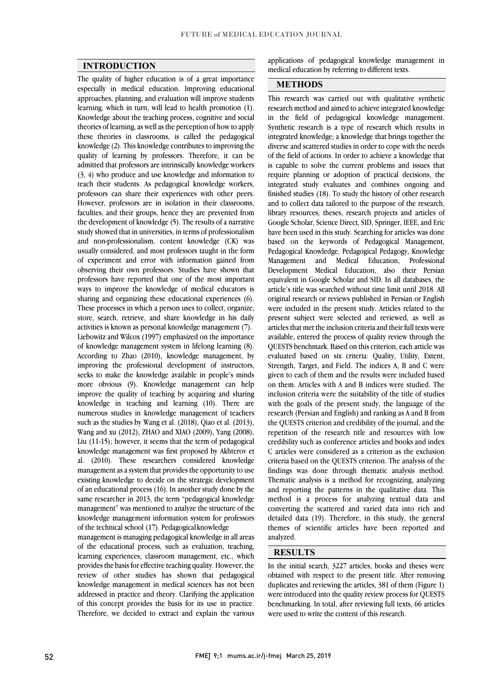## **INTRODUCTION**

 The quality of higher education is of a great importance especially in medical education. Improving educational approaches, planning, and evaluation will improve students Knowledge about the teaching process, cognitive and social theories of learning, as well as the perception of how to apply these theories in classrooms, is called the pedagogical knowledge (2). This knowledge contributes to improving the admitted that professors are intrinsically knowledge workers (3, 4) who produce and use knowledge and information to teach their students. As pedagogical knowledge workers, professors can share their experiences with other peers. faculties, and their groups, hence they are prevented from the development of knowledge (5). The results of a narrative study showed that in universities, in terms of professionalism and non-professionalism, content knowledge (CK) was<br>usually considered, and most professors taught in the form of experiment and error with information gained from observing their own professors. Studies have shown that professors have reported that one of the most important ways to improve the knowledge of medical educators is<br>sharing and organizing these educational experiences (6). These processes in which a person uses to collect, organize, store, search, retrieve, and share knowledge in his daily activities is known as personal knowledge management (7). of knowledge management system in lifelong learning (8). According to Zhao (2010), knowledge management, by improving the professional development of instructors, seeks to make the knowledge available in people's minds  $i$  improve the quality of teaching by acquiring and sharing knowledge in teaching and learning (10). There are numerous studies in knowledge management of teachers such as the studies by Wang et al.  $(2018)$ , Qiao et al.  $(2013)$ ,  $\frac{1000}{11-15}$ ; however, it seems that the term of pedagogical knowledge management was first proposed by Akhterov et al. (2010). These researchers considered knowledge management as a system that provides the opportunity to use of an educational process (16). In another study done by the same researcher in 2013, the term "pedagogical knowledge management" was mentioned to analyze the structure of the knowledge management information system for professors<br>of the technical school (17). Bedagegiselly explodes learning, which in turn, will lead to health promotion (1). quality of learning by professors. Therefore, it can be However, professors are in isolation in their classrooms, and non-professionalism, content knowledge (CK) was ways to improve the knowledge of medical educators is Liebowitz and Wilcox (1997) emphasized on the importance more obvious (9). Knowledge management can help Wang and xu (2012), ZHAO and XIAO (2009), Yang (2008), existing knowledge to decide on the strategic development of the technical school (17). Pedagogicalknowledge

 management is managing pedagogical knowledge in all areas of the educational process, such as evaluation, teaching, learning experiences, classroom management, etc., which provides the basis for energy calling quality. However, the review of other studies has shown that pedagogical knowledge management in medical sciences has not been addressed in practice and theory. Clarifying the application of this concept provides the basis for its use in practice. Therefore, we decided to extract and explain the various provides the basis for effective teaching quality. However, the

applications of pedagogical knowledge management in medical education by referring to different texts  $\overline{a}$ medical education by referring to different texts.

### **METHODS**

l This research was carried out with qualitative synthetic in the field of pedagogical knowledge management. Synthetic research is a type of research which results in integrated knowledge; a knowledge that brings together the diverse and scattered studies in order to cope with the needs is capable to solve the current problems and issues that require planning or adoption of practical decisions, the integrated study evaluates and combines ongoing and finished studies (18). To study the history of other research library resources, theses, research projects and articles of Google Scholar, Science Direct, SID, Springer, IEEE, and Eric have been used in this study. Searching for articles was done Pedagogical Knowledge, Pedagogical Pedagogy, Knowledge Professional Development Medical Education, also their Persian equivalent in Google Scholar and SID. In all databases, the original research or reviews published in Persian or English were included in the present study. Articles related to the present subject were selected and reviewed, as well as articles that met the inclusion criteria and their full texts were QUESTS benchmark. Based on this criterion, each article was evaluated based on six criteria: Quality, Utility, Extent, Strength, Target, and Field. The indices A, B and C were given to each of them and the results were included based inclusion criteria were the suitability of the title of studies with the goals of the present study, the language of the research (Persian and English) and ranking as A and B from Ine QUESTS CHEFION and Credibility of the journal, and the repetition of the research title and resources with low credibility such as conference articles and books and index C articles were considered as a criterion as the exclusion criteria based on the QUESTS criterion. The analysis of the Thematic analysis is a method for recognizing, analyzing and reporting the patterns in the qualitative data. This method is a process for analyzing textual data and converting the scattered and varied data into rich and themes of scientific articles have been reported and research method and aimed to achieve integrated knowledge of the field of actions. In order to achieve a knowledge that and to collect data tailored to the purpose of the research, based on the keywords of Pedagogical Management, Management and Medical Education, article's title was searched without time limit until 2018. All available, entered the process of quality review through the on them. Articles with A and B indices were studied. The the QUESTS criterion and credibility of the journal, and the findings was done through thematic analysis method. detailed data (19). Therefore, in this study, the general analyzed.

# **RESULTS**

In the initial search, 3227 articles, books and theses were obtained with respect to the present title. After removing duplicates and reviewing the articles, 381 of them (Figure 1) were introduced into the quality review process for QUESTS benchmarking. In total, after reviewing full texts, 66 articles were used to write the content of this research.

I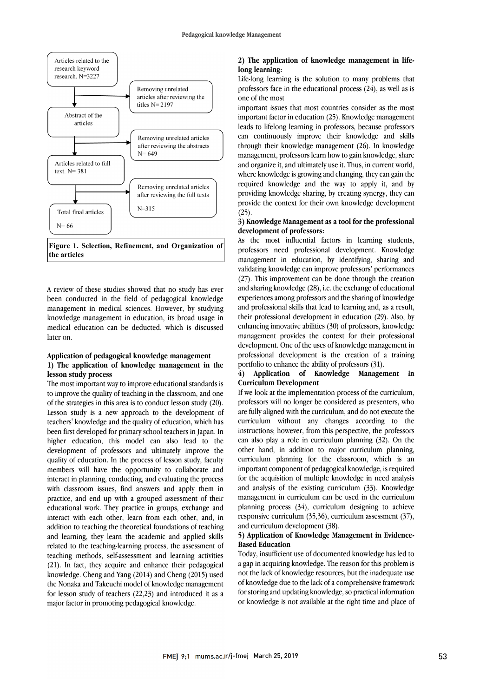

 **Figure 1. Selection, Refinement, and Organization of the articles**

A review of these studies showed that no study has ever management in medical sciences. However, by studying knowledge management in education, its broad usage in medical education can be deducted, which is discussed been conducted in the field of pedagogical knowledge later on.

#### **1) The application of knowledge management in the Application of pedagogical knowledge management lesson study process**

**1esson study process**<br>The most important way to improve educational standards is to improve the quality of teaching in the classroom, and one of the strategies in this area is to conduct lesson study (20). Lesson study is a new approach to the development of teachers' knowledge and the quality of education, which has higher education, this model can also lead to the development of professors and ultimately improve the quality of education. In the process of lesson study, faculty interact in planning, conducting, and evaluating the process with classroom issues, find answers and apply them in practice, and end up with a grouped assessment of their educational work. They practice in groups, exchange and addition to teaching the theoretical foundations of teaching and learning, they learn the academic and applied skills related to the teaching-learning process, the assessment of teaching methods, self-assessment and learning activities knowledge. Cheng and Yang (2014) and Cheng (2015) used the Nonaka and Takeuchi model of knowledge management for lesson study of teachers (22,23) and introduced it as a been first developed for primary school teachers in Japan. In members will have the opportunity to collaborate and interact with each other, learn from each other, and, in (21). In fact, they acquire and enhance their pedagogical major factor in promoting pedagogical knowledge.

#### **2) The application of knowledge management in lifelong learning:**

Life-long learning is the solution to many problems that professors face in the educational process (24), as well as is one of the most

one of the most<br>important issues that most countries consider as the most leads to lifelong learning in professors, because professors can continuously improve their knowledge and skills through their knowledge management (26). In knowledge and organize it, and ultimately use it. Thus, in current world, where knowledge is growing and changing, they can gain the required knowledge and the way to apply it, and by !<br>provide the context for their own knowledge development (25). important factor in education (25). Knowledge management management, professors learn how to gain knowledge, share providing knowledge sharing, by creating synergy, they can (25).

#### **3) Knowledge Management as a tool for the professional development of professors:**

**development of protessors:**<br>As the most influential factors in learning students, professors need professional development. Knowledge management in education, by identifying, sharing and validating knowledge can improve professors' performances (27). This improvement can be done through the creation experiences among professors and the sharing of knowledge and professional skills that lead to learning and, as a result, their professional development in education (29). Also, by enhancing innovative abilities (30) of professors, knowledge development. One of the uses of knowledge management in professional development is the creation of a training and sharing knowledge (28), i.e. the exchange of educational management provides the context for their professional portfolio to enhance the ability of professors (31).

#### $\overline{\phantom{a}}$ 4) Application of Knowledge Management **Curriculum Development**

 If we look at the implementation process of the curriculum, professors will no longer be considered as presenters, who are fully aligned with the curriculum, and do not execute the instructions; however, from this perspective, the professors can also play a role in curriculum planning (32). On the other hand, in addition to major curriculum planning, curriculum planning for the classroom, which is an for the acquisition of multiple knowledge in need analysis and analysis of the existing curriculum (33). Knowledge management in curriculum can be used in the curriculum planning process (54), curriculum designing to achieve<br>responsive curriculum (35,36), curriculum assessment (37),  $\overline{\phantom{a}}$ curriculum without any changes according to the important component of pedagogical knowledge, is required planning process (34), curriculum designing to achieve and curriculum development (38).

# **5) Application of Knowledge Management in Evidence-Based Education**

 Today, insufficient use of documented knowledge has led to a gap in acquiring knowledge. The reason for this problem is not the lack of knowledge resources, but the inadequate use of knowledge due to the lack of a comprehensive framework for storing and updating knowledge, so practical information or knowledge is not available at the right time and place of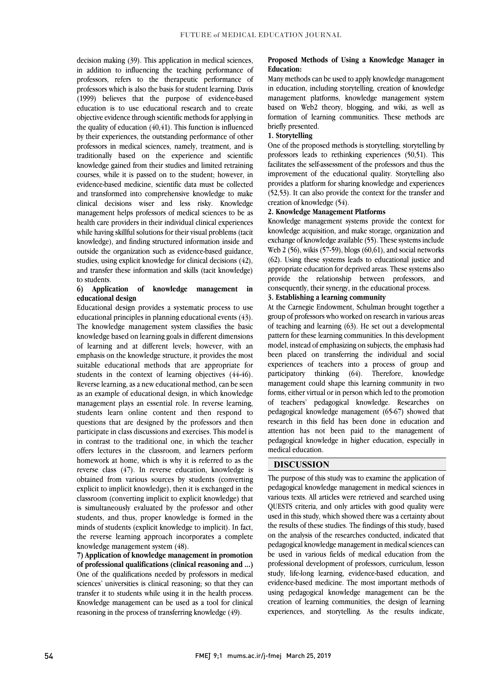decision making (59). This application in inequital sciences,<br>in addition to influencing the teaching performance of professors, refers to the therapeutic performance of professors which is also the basis for student learning. Davis (1999) believes that the purpose of evidence-based objective evidence through scientific methods for applying in the quality of education  $(40, 41)$ . This function is influenced by their experiences, the outstanding performance of other professors in medical sciences, namely, treatment, and is knowledge gained from their studies and limited retraining courses, while it is passed on to the student; however, in evidence-based medicine, scientific data must be collected and transformed into comprehensive knowledge to make management helps professors of medical sciences to be as health care providers in their individual clinical experiences while having skillful solutions for their visual problems (tacit knowledge), and finding structured information inside and studies, using explicit knowledge for clinical decisions (42), and transfer these information and skills (tacit knowledge) decision making (39). This application in medical sciences, education is to use educational research and to create traditionally based on the experience and scientific clinical decisions wiser and less risky. Knowledge outside the organization such as evidence-based guidance, to students.

#### **6) Application of knowledge management in educational design**

 Educational design provides a systematic process to use educational principles in planning educational events (43). The knowledge management system classifies the basic of learning and at different levels; however, with an emphasis on the knowledge structure, it provides the most suitable educational methods that are appropriate for students in the context of learning objectives (44-46). as an example of educational design, in which knowledge management plays an essential role. In reverse learning, students learn online content and then respond to questions that are designed by the professors and then in contrast to the traditional one, in which the teacher offers lectures in the classroom, and learners perform homework at home, which is why it is referred to as the reverse class (47). In reverse education, knowledge is explicit to implicit knowledge), then it is exchanged in the classroom (converting implicit to explicit knowledge) that is simultaneously evaluated by the professor and other minds of students (explicit knowledge to implicit). In fact, the reverse learning approach incorporates a complete knowledge based on learning goals in different dimensions Reverse learning, as a new educational method, can be seen participate in class discussions and exercises. This model is obtained from various sources by students (converting students, and thus, proper knowledge is formed in the knowledge management system (48).

 **7) Application of knowledge management in promotion**  One of the qualifications needed by professors in medical sciences' universities is clinical reasoning; so that they can transfer it to students while using it in the health process. Knowledge management can be used as a tool for clinical **of professional qualifications (clinical reasoning and ...)** reasoning in the process of transferring knowledge (49).

#### **Proposed Methods of Using a Knowledge Manager in Education:**

 Many methods can be used to apply knowledge management in education, including storytelling, creation of knowledge management platforms, knowledge management system formation of learning communities. These methods are based on Web2 theory, blogging, and wiki, as well as briefly presented.

#### **1. Storytelling**

One of the proposed methods is storytelling; storytelling by facilitates the self-assessment of the professors and thus the improvement of the educational quality. Storytelling also provides a platform for sharing knowledge and experiences (52,53). It can also provide the context for the transfer and  $\frac{1}{2}$ professors leads to rethinking experiences (50,51). This creation of knowledge (54).

#### **2. Knowledge Management Platforms**

 Knowledge management systems provide the context for knowledge acquisition, and make storage, organization and Exchange of knowledge available  $(5)$ . These systems include<br>Web 2  $(56)$ , wikis  $(57-59)$ , blogs  $(60,61)$ , and social networks (62). Using these systems leads to educational justice and appropriate education for deprived areas. These systems also provide the relationship between professors, and exchange of knowledge available (55). These systems include consequently, their synergy, in the educational process.

# **3. Establishing a learning community**

 At the Carnegie Endowment, Schulman brought together a group of professors who worked on research in various areas of teaching and learning (63). He set out a developmental model, instead of emphasizing on subjects, the emphasis had been placed on transferring the individual and social experiences of teachers into a process of group and participatory thinking (64). Therefore, knowledge forms, either virtual or in person which led to the promotion of teachers' pedagogical knowledge. Researches on pedagogical knowledge management (65-67) showed that attention has not been paid to the management of pedagogical knowledge in higher education, especially in pattern for these learning communities. In this development management could shape this learning community in two research in this field has been done in education and medical education.

# **DISCUSSION**

 The purpose of this study was to examine the application of pedagogical knowledge management in medical sciences in various texts. All articles were retrieved and searched using QUESTS criteria, and only articles with good quality were the results of these studies. The findings of this study, based on the analysis of the researches conducted, indicated that pedagogical knowledge management in medical sciences can be used in various fields of medical education from the study, life-long learning, evidence-based education, and evidence-based medicine. The most important methods of using pedagogical knowledge management can be the experiences, and storytelling. As the results indicate, used in this study, which showed there was a certainty about professional development of professors, curriculum, lesson creation of learning communities, the design of learning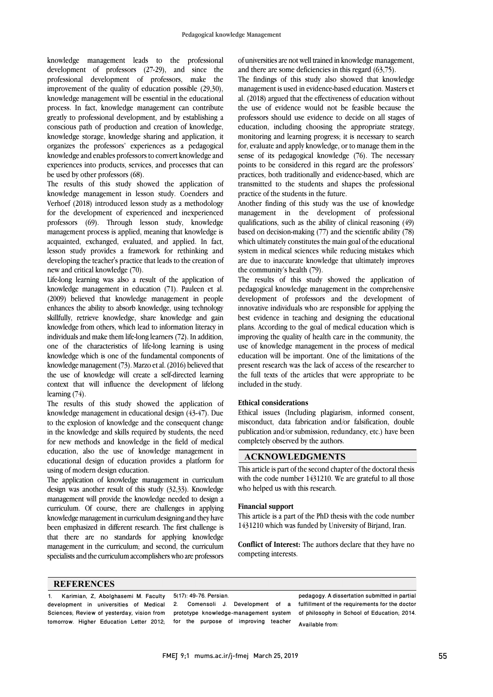knowledge management leads to the professional development of professors (27-29), and since the professional development of professors, make the improvement of the quality of education possible (29,30), knowledge management will be essential in the educational process. In fact, knowledge management can contribute greatly to professional development, and by establishing a conscious path of production and creation of knowledge, knowledge storage, knowledge sharing and application, it organizes the professors' experiences as a pedagogical knowledge and enables professors to convert knowledge and experiences into products, services, and processes that can be used by other professors (68).

The results of this study showed the application of knowledge management in lesson study. Coenders and Verhoef (2018) introduced lesson study as a methodology for the development of experienced and inexperienced professors (69). Through lesson study, knowledge management process is applied, meaning that knowledge is acquainted, exchanged, evaluated, and applied. In fact, lesson study provides a framework for rethinking and developing the teacher's practice that leads to the creation of new and critical knowledge (70).

Life-long learning was also a result of the application of knowledge management in education (71). Pauleen et al. (2009) believed that knowledge management in people enhances the ability to absorb knowledge, using technology skillfully, retrieve knowledge, share knowledge and gain knowledge from others, which lead to information literacy in individuals and make them life-long learners (72). In addition, one of the characteristics of life-long learning is using knowledge which is one of the fundamental components of knowledge management (73). Marzo et al. (2016) believed that the use of knowledge will create a self-directed learning context that will influence the development of lifelong learning (74).

The results of this study showed the application of knowledge management in educational design (43-47). Due to the explosion of knowledge and the consequent change in the knowledge and skills required by students, the need for new methods and knowledge in the field of medical education, also the use of knowledge management in educational design of education provides a platform for using of modern design education.

The application of knowledge management in curriculum design was another result of this study (32,33). Knowledge management will provide the knowledge needed to design a curriculum. Of course, there are challenges in applying knowledge management in curriculum designing and they have been emphasized in different research. The first challenge is that there are no standards for applying knowledge management in the curriculum; and second, the curriculum specialists and the curriculum accomplishers who are professors

of universities are not well trained in knowledge management, and there are some deficiencies in this regard (63,75).

The findings of this study also showed that knowledge management is used in evidence-based education. Masters et al. (2018) argued that the effectiveness of education without the use of evidence would not be feasible because the professors should use evidence to decide on all stages of education, including choosing the appropriate strategy, monitoring and learning progress; it is necessary to search for, evaluate and apply knowledge, or to manage them in the sense of its pedagogical knowledge (76). The necessary points to be considered in this regard are the professors' practices, both traditionally and evidence-based, which are transmitted to the students and shapes the professional practice of the students in the future.

Another finding of this study was the use of knowledge management in the development of professional qualifications, such as the ability of clinical reasoning (49) based on decision-making (77) and the scientific ability (78) which ultimately constitutes the main goal of the educational system in medical sciences while reducing mistakes which are due to inaccurate knowledge that ultimately improves the community's health (79).

The results of this study showed the application of pedagogical knowledge management in the comprehensive development of professors and the development of innovative individuals who are responsible for applying the best evidence in teaching and designing the educational plans. According to the goal of medical education which is improving the quality of health care in the community, the use of knowledge management in the process of medical education will be important. One of the limitations of the present research was the lack of access of the researcher to the full texts of the articles that were appropriate to be included in the study.

### **Ethical considerations**

Ethical issues (Including plagiarism, informed consent, misconduct, data fabrication and/or falsification, double publication and/or submission, redundancy, etc.) have been completely observed by the authors.

# **ACKNOWLEDGMENTS**

This article is part of the second chapter of the doctoral thesis with the code number 1431210. We are grateful to all those who helped us with this research.

#### **Financial support**

This article is a part of the PhD thesis with the code number 1431210 which was funded by University of Birjand, Iran.

**Conflict of Interest:** The authors declare that they have no competing interests.

#### **REFERENCES**

| Karimian, Z. Abolghasemi M. Faculty 5(17): 49-76. Persian. |                                                                                                                              | pedagogy. A dissertation submitted in partial |
|------------------------------------------------------------|------------------------------------------------------------------------------------------------------------------------------|-----------------------------------------------|
|                                                            | development in universities of Medical 2. Comensoli J. Development of a fulfillmentof the requirements-for-the-doctor        |                                               |
|                                                            | Sciences; Review of yesterday, vision from prototype knowledge-management system of philosophy in School of Education; 2014. |                                               |
|                                                            | tomorrow. Higher Education Letter 2012; for the purpose of improving teacher                                                 | Available from:                               |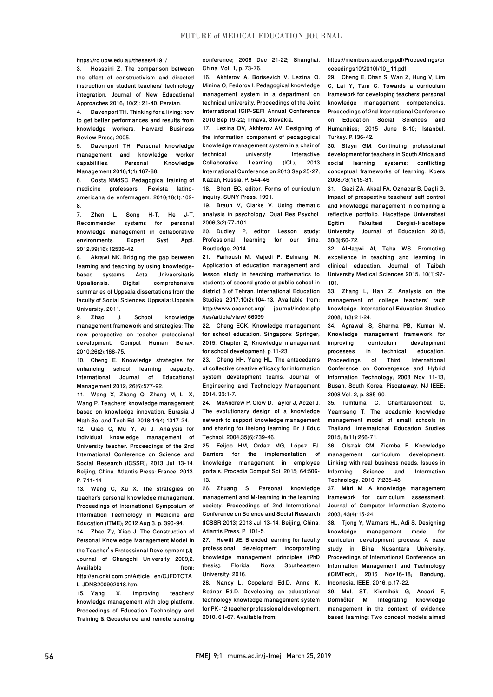https://ro.uow.edu.au/theses/4191/

3. Hosseini Z. The comparison between the effect of constructivism and directed instruction on student teachers' technology integration. Journal of New Educational Approaches 2016; 10(2): 21-40. Persian.

Davenport TH. Thinking for a living: how to get better performances and results from knowledge workers. Harvard Business Review Press; 2005.

5. Davenport TH. Personal knowledge management and knowledge worker<br>capabilities. Personal Knowledge capabilities. Management 2016;1(1):167-88.

6. Costa NMdSC. Pedagogical training of medicine professors. Revista latinoamericana de enfermagem. 2010;18(1):102-  $\frac{8}{7}$ 

Zhen L, Song H-T, He J-T.<br>ommender systems for personal Recommender systems for knowledge management in collaborative environments. Expert Syst Appl. 2012;39(16):12536-42.

8. Akrawi NK. Bridging the gap between learning and teaching by using knowledge-<br>based systems. Acta Univaersitatis based systems. Upsaliensis. Digital comprehensive summaries of Uppsala dissertations from the faculty of Social Sciences. Uppsala: Uppsala University; 2011.

9. Zhao J. School knowledge management framework and strategies: The new perspective on teacher professional development. Comput Human Behav. 2010;26(2):168-75.

10. Cheng E. Knowledge strategies for enhancing school learning capacity. International Journal of Educational Management 2012; 26(6):577-92.

11. Wang X, Zhang Q, Zhang M, Li X, Wang P. Teachers' knowledge management based on knowledge innovation. Eurasia J Math Sci and Tech Ed. 2018;14(4):1317-24.

12. Qiao C, Mu Y, Ai J. Analysis for individual knowledge management of University teacher. Proceedings of the 2nd International Conference on Science and Social Research (ICSSR); 2013 Jul 13-14. Beijing, China. Atlantis Press: France; 2013. P. 711-14.

13. Wang C, Xu X. The strategies on teacher's personal knowledge management. Proceedings of International Symposium of Information Technology in Medicine and Education (ITME); 2012 Aug 3. p. 390-94.

14. Zhao Zy, Xiao J. The Construction of Personal Knowledge Management Model in the Teacher′s Professional Development [J]. Journal of Changzhi University 2009;2. Available from: http://en.cnki.com.cn/Article\_en/CJFDTOTA

L-JDNS200902018.htm. 15. Yang X. Improving teachers'

knowledge management with blog platform. Proceedings of Education Technology and Training & Geoscience and remote sensing conference; 2008 Dec 21-22; Shanghai, China. Vol. 1, p. 73-76.

16. Akhterov A, Borisevich V, Lezina O, Minina O, Fedorov I. Pedagogical knowledge management system in a department on technical university. Proceedings of the Joint International IGIP-SEFI Annual Conference 2010 Sep 19-22; Trnava, Slovakia.

17. Lezina OV, Akhterov AV, Designing of the information component of pedagogical knowledge management system in a chair of technical university. Interactive<br>Collaborative Learning (ICL), 2013 Collaborative International Conference on 2013 Sep 25-27; Kazan, Russia. P. 544-46.

18. Short EC, editor. Forms of curriculum inquiry. SUNY Press; 1991.

19. Braun V, Clarke V. Using thematic analysis in psychology. Qual Res Psychol. 2006;3(2):77-101.

20. Dudley P, editor. Lesson study: Professional learning for our time. Routledge; 2014.

21. Farhoush M, Majedi P, Behrangi M. Application of education management and lesson study in teaching mathematics to students of second grade of public school in district 3 of Tehran. International Education Studies 2017;10(2):104-13. Available from: http://www.ccsenet.org/ journal/index.php /ies/article/view/ 66099

22. Cheng ECK. Knowledge management for school education. Singapore: Springer; 2015. Chapter 2, Knowledge management for school development; p.11-23.

23. Cheng HH, Yang HL. The antecedents of collective creative efficacy for information system development teams. Journal of Engineering and Technology Management 2014; 33:1-7.

24. McAndrew P, Clow D, Taylor J, Aczel J. The evolutionary design of a knowledge network to support knowledge management and sharing for lifelong learning. Br J Educ Technol. 2004;35(6):739-46.

25. Feijoo HM, Ordaz MG, López FJ. Barriers for the implementation of knowledge management in employee portals. Procedia Comput Sci. 2015; 64:506- 13.

26. Zhuang S. Personal knowledge management and M-learning in the learning society. Proceedings of 2nd International Conference on Science and Social Research (ICSSR 2013) 2013 Jul 13-14. Beijing, China. Atlantis Press. P. 101-5.

27. Hewitt JE. Blended learning for faculty professional development incorporating knowledge management principles [PhD thesis]. Florida: Nova Southeastern University; 2016.

28. Nancy L, Copeland Ed.D, Anne K, Bednar Ed.D. Developing an educational technology knowledge management system for PK-12 teacher professional development. 2010; 61-67. Available from:

https://members.aect.org/pdf/Proceedings/pr oceedings10/2010I/10\_11.pdf

29. Cheng E, Chan S, Wan Z, Hung V, Lim C, Lai Y, Tam C. Towards a curriculum framework for developing teachers' personal knowledge management competencies. Proceedings of 2nd International Conference on Education Social Sciences and Humanities; 2015 June 8-10; Istanbul, Turkey. P.136-42.

30. Steyn GM. Continuing professional development for teachers in South Africa and<br>social learning systems: conflicting systems: conflicting conceptual frameworks of learning. Koers 2008;73(1):15-31.

31. Gazi ZA, Aksal FA, Oznacar B, Dagli G. Impact of prospective teachers' self control and knowledge management in compiling a reflective portfolio. Hacettepe Universitesi<br>Egitim Fakultesi Dergisi-Hacettepe Dergisi-Hacettepe University. Journal of Education 2015; 30(3):60-72.

32. AlHaqwi AI, Taha WS. Promoting excellence in teaching and learning in clinical education. Journal of Taibah University Medical Sciences 2015; 10(1):97- 101.

33. Zhang L, Han Z. Analysis on the management of college teachers' tacit knowledge. International Education Studies 2008; 1(3):21-24.

34. Agrawal S, Sharma PB, Kumar M. Knowledge management framework for improving curriculum development processes in technical education.<br>Proceedings of Third International **International** Conference on Convergence and Hybrid Information Technology; 2008 Nov 11-13; Busan, South Korea. Piscataway, NJ IEEE; 2008 Vol. 2, p. 885-90.

35. Tumtuma C, Chantarasombat C, Yeamsang T. The academic knowledge management model of small schools in Thailand. International Education Studies 2015; 8(11):266-71.

36. Olszak CM, Ziemba E. Knowledge management curriculum development: Linking with real business needs. Issues in Informing Science and Information Technology. 2010; 7:235-48.

37. Mitri M. A knowledge management framework for curriculum assessment. Journal of Computer Information Systems 2003; 43(4):15-24.

38. Tjong Y, Warnars HL, Adi S. Designing knowledge management model for curriculum development process: A case study in Bina Nusantara University. Proceedings of International Conference on Information Management and Technology (ICIMTech); 2016 Nov16-18; Bandung, Indonesia. IEEE. 2016. p.17-22.

39. Mol, ST, Kismihók G, Ansari F,<br>Dornhöfer M. Integrating knowledge Integrating knowledge management in the context of evidence based learning: Two concept models aimed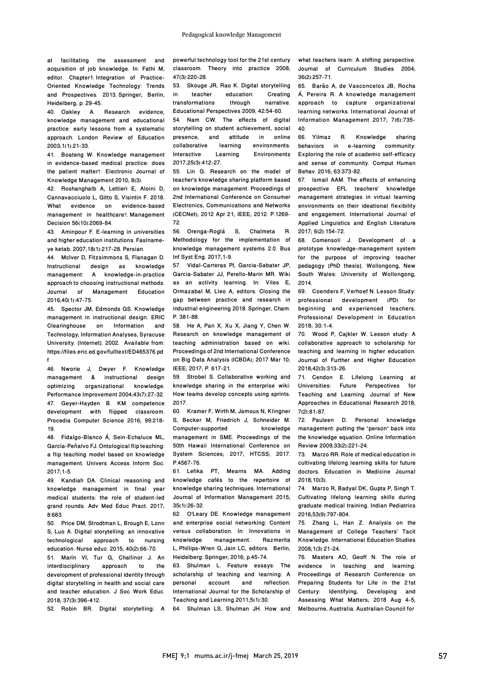at facilitating the assessment and acquisition of job knowledge. In: Fathi M, editor. Chapter1. Integration of Practice-Oriented Knowledge Technology: Trends and Prospectives. 2013. Springer, Berlin, Heidelberg; p. 29-45.

40. Oakley A. Research evidence, knowledge management and educational practice: early lessons from a systematic approach. London Review of Education 2003;1(1):21-33.

41. Boateng W. Knowledge management in evidence-based medical practice: does the patient matter?. Electronic Journal of Knowledge Management 2010; 8(3).

42. Roshanghalb A, Lettieri E, Aloini D, Cannavacciuolo L, Gitto S, Visintin F. 2018. What evidence on evidence-based management in healthcare?. Management Decision 56(10):2069-84.

43. Aminpour F. E-learning in universities and higher education institutions. Faslnameye ketab. 2007;18(1):217-28. Persian.

44. McIver D, Fitzsimmons S, Flanagan D. Instructional design as knowledge management: A knowledge-in-practice approach to choosing instructional methods. Journal of Management Education 2016;40(1):47-75.

45. Spector JM, Edmonds GS. Knowledge management in instructional design. ERIC Clearinghouse on Information and Technology; Information Analyses, Syracuse University. [Internet]. 2002. Available from: https://files.eric.ed.gov/fulltext/ED465376.pd f

46. Nworie J, Dwyer F. Knowledge management & instructional design<br>optimizing organizational knowledge. organizational Performance Improvement 2004;43(7):27-32. 47. Geyer-Hayden B. KM competence development with flipped classroom. Procedia Computer Science 2016; 99:218- 19.

48. Fidalgo-Blanco Á, Sein-Echaluce ML, García-Peñalvo FJ. Ontological flip teaching: a flip teaching model based on knowledge management. Univers Access Inform Soc. 2017;1-5.

49. Kandiah DA. Clinical reasoning and knowledge management in final year medical students: the role of student-led grand rounds. Adv Med Educ Pract. 2017; 8:683.

50. Price DM, Strodtman L, Brough E, Lonn S, Luo A. Digital storytelling: an innovative technological approach to nursing education. Nurse educ. 2015; 40(2):66-70. 51. Marín VI, Tur G, Challinor J. An<br>interdisciplinary approach to the interdisciplinary development of professional identity through digital storytelling in health and social care and teacher education. J Soc Work Educ. 2018; 37(3):396-412.

52. Robin BR. Digital storytelling: A

powerful technology tool for the 21st century classroom. Theory into practice 2008; 47(3):220-28.

53. Skouge JR, Rao K. Digital storytelling<br>in teacher education: Creating education: Creating<br>through narrative. transformations Educational Perspectives 2009; 42:54-60. 54. Nam CW. The effects of digital storytelling on student achievement, social<br>presence. and attitude in online presence, and collaborative learning environments.<br>Interactive Learning Environments Interactive Learning Environments 2017;25(3):412-27.

55. Lin G. Research on the model of teacher's knowledge sharing platform based on knowledge management. Proceedings of 2nd International Conference on Consumer Electronics, Communications and Networks (CECNet); 2012 Apr 21; IEEE; 2012. P.1269- 72.

56. Orenga-Roglá S, Chalmeta R. Methodology for the implementation of knowledge management systems 2.0. Bus Inf Syst Eng. 2017;1-9.

57. Vidal-Carreras PI, Garcia-Sabater JP, Garcia-Sabater JJ, Perello-Marin MR. Wiki as an activity learning. In: Viles E, Ormazabal M, Lleo A, editors. Closing the gap between practice and research in industrial engineering 2018. Springer, Cham. P. 381-88.

58. He A, Pan X, Xu X, Jiang Y, Chen W. Research on knowledge management of teaching administration based on wiki. Proceedings of 2nd International Conference on Big Data Analysis (ICBDA); 2017 Mar 10; IEEE; 2017; P. 617-21.

59. Strobel S. Collaborative working and knowledge sharing in the enterprise wiki: How teams develop concepts using sprints. 2017.

60. Kramer F, Wirth M, Jamous N, Klingner S, Becker M, Friedrich J, Schneider M. Computer-supported knowledge management in SME. Proceedings of the 50th Hawaii International Conference on System Sciences; 2017; HTCSS; 2017. P.4567-76.

61. Lefika PT, Mearns MA. Adding knowledge cafés to the repertoire of knowledge sharing techniques. International Journal of Information Management 2015; 35(1):26-32.

62. O'Leary DE. Knowledge management and enterprise social networking: Content versus collaboration. In: Innovations in<br>knowledge management. Razmerita management. L, Phillips-Wren G, Jain LC, editors. Berlin, Heidelberg: Springer; 2016; p.45-74.

63. Shulman L. Feature essays: The scholarship of teaching and learning: A<br>personal account and reflection. personal account International Journal for the Scholarship of Teaching and Learning 2011;5(1):30.

64. Shulman LS, Shulman JH. How and

what teachers learn: A shifting perspective. Journal of Curriculum Studies 2004; 36(2):257-71.

65. Barão A, de Vasconcelos JB, Rocha Á, Pereira R. A knowledge management approach to capture organizational learning networks. International Journal of Information Management 2017; 7(6):735- 40.

66. Yilmaz R. Knowledge sharing behaviors in e-learning community: Exploring the role of academic self-efficacy and sense of community. Comput Human Behav. 2016; 63:373-82.

67. Ismail AAM. The effects of enhancing prospective EFL teachers' knowledge management strategies in virtual learning environments on their ideational flexibility and engagement. International Journal of Applied Linguistics and English Literature 2017; 6(2):154-72.

68. Comensoli J. Development of a prototype knowledge-management system for the purpose of improving teacher pedagogy [PhD thesis]. Wollongong, New South Wales: University of Wollongong, 2014.

69. Coenders F, Verhoef N. Lesson Study: professional development (PD) for beginning and experienced teachers. Professional Development in Education 2018; 30:1-4.

70. Wood P, Cajkler W. Lesson study: A collaborative approach to scholarship for teaching and learning in higher education. Journal of Further and Higher Education 2018;42(3):313-26.

71. Cendon E. Lifelong Learning at<br>Universities: Future Perspectives for Future Perspectives for Teaching and Learning. Journal of New Approaches in Educational Research 2018; 7(2):81-87.

72. Pauleen D. Personal knowledge management: putting the "person" back into the knowledge equation. Online Information Review 2009;33(2):221-24.

73. Marzo RR. Role of medical education in cultivating lifelong learning skills for future doctors. Education in Medicine Journal 2018;10(3).

74. Marzo R, Badyal DK, Gupta P, Singh T. Cultivating lifelong learning skills during graduate medical training. Indian Pediatrics 2016;53(9):797-804.

75. Zhang L, Han Z. Analysis on the Management of College Teachers' Tacit Knowledge. International Education Studies 2008;1(3):21-24.

76. Masters AO, Geoff N. The role of evidence in teaching and learning. Proceedings of Research Conference on Preparing Students for Life in the 21st Century: Identifying, Developing and Assessing What Matters; 2018 Aug 4-5; Melbourne, Australia. Australian Council for